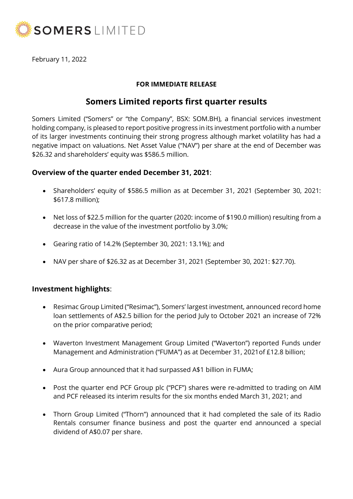

February 11, 2022

## **FOR IMMEDIATE RELEASE**

# **Somers Limited reports first quarter results**

Somers Limited ("Somers" or "the Company", BSX: SOM.BH), a financial services investment holding company, is pleased to report positive progress in its investment portfolio with a number of its larger investments continuing their strong progress although market volatility has had a negative impact on valuations. Net Asset Value ("NAV") per share at the end of December was \$26.32 and shareholders' equity was \$586.5 million.

# **Overview of the quarter ended December 31, 2021**:

- Shareholders' equity of \$586.5 million as at December 31, 2021 (September 30, 2021: \$617.8 million);
- Net loss of \$22.5 million for the quarter (2020: income of \$190.0 million) resulting from a decrease in the value of the investment portfolio by 3.0%;
- Gearing ratio of 14.2% (September 30, 2021: 13.1%); and
- NAV per share of \$26.32 as at December 31, 2021 (September 30, 2021: \$27.70).

# **Investment highlights**:

- Resimac Group Limited ("Resimac"), Somers' largest investment, announced record home loan settlements of A\$2.5 billion for the period July to October 2021 an increase of 72% on the prior comparative period;
- Waverton Investment Management Group Limited ("Waverton") reported Funds under Management and Administration ("FUMA") as at December 31, 2021of £12.8 billion;
- Aura Group announced that it had surpassed A\$1 billion in FUMA;
- Post the quarter end PCF Group plc ("PCF") shares were re-admitted to trading on AIM and PCF released its interim results for the six months ended March 31, 2021; and
- Thorn Group Limited ("Thorn") announced that it had completed the sale of its Radio Rentals consumer finance business and post the quarter end announced a special dividend of A\$0.07 per share.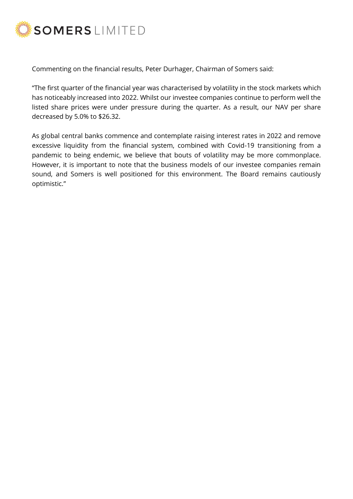

Commenting on the financial results, Peter Durhager, Chairman of Somers said:

"The first quarter of the financial year was characterised by volatility in the stock markets which has noticeably increased into 2022. Whilst our investee companies continue to perform well the listed share prices were under pressure during the quarter. As a result, our NAV per share decreased by 5.0% to \$26.32.

As global central banks commence and contemplate raising interest rates in 2022 and remove excessive liquidity from the financial system, combined with Covid-19 transitioning from a pandemic to being endemic, we believe that bouts of volatility may be more commonplace. However, it is important to note that the business models of our investee companies remain sound, and Somers is well positioned for this environment. The Board remains cautiously optimistic."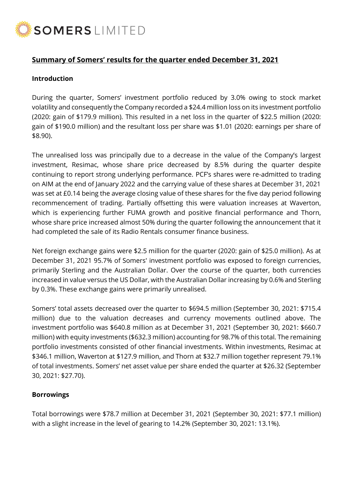

# **Summary of Somers' results for the quarter ended December 31, 2021**

#### **Introduction**

During the quarter, Somers' investment portfolio reduced by 3.0% owing to stock market volatility and consequently the Company recorded a \$24.4 million loss on its investment portfolio (2020: gain of \$179.9 million). This resulted in a net loss in the quarter of \$22.5 million (2020: gain of \$190.0 million) and the resultant loss per share was \$1.01 (2020: earnings per share of \$8.90).

The unrealised loss was principally due to a decrease in the value of the Company's largest investment, Resimac, whose share price decreased by 8.5% during the quarter despite continuing to report strong underlying performance. PCF's shares were re-admitted to trading on AIM at the end of January 2022 and the carrying value of these shares at December 31, 2021 was set at £0.14 being the average closing value of these shares for the five day period following recommencement of trading. Partially offsetting this were valuation increases at Waverton, which is experiencing further FUMA growth and positive financial performance and Thorn, whose share price increased almost 50% during the quarter following the announcement that it had completed the sale of its Radio Rentals consumer finance business.

Net foreign exchange gains were \$2.5 million for the quarter (2020: gain of \$25.0 million). As at December 31, 2021 95.7% of Somers' investment portfolio was exposed to foreign currencies, primarily Sterling and the Australian Dollar. Over the course of the quarter, both currencies increased in value versus the US Dollar, with the Australian Dollar increasing by 0.6% and Sterling by 0.3%. These exchange gains were primarily unrealised.

Somers' total assets decreased over the quarter to \$694.5 million (September 30, 2021: \$715.4 million) due to the valuation decreases and currency movements outlined above. The investment portfolio was \$640.8 million as at December 31, 2021 (September 30, 2021: \$660.7 million) with equity investments (\$632.3 million) accounting for 98.7% of this total. The remaining portfolio investments consisted of other financial investments. Within investments, Resimac at \$346.1 million, Waverton at \$127.9 million, and Thorn at \$32.7 million together represent 79.1% of total investments. Somers' net asset value per share ended the quarter at \$26.32 (September 30, 2021: \$27.70).

#### **Borrowings**

Total borrowings were \$78.7 million at December 31, 2021 (September 30, 2021: \$77.1 million) with a slight increase in the level of gearing to 14.2% (September 30, 2021: 13.1%).